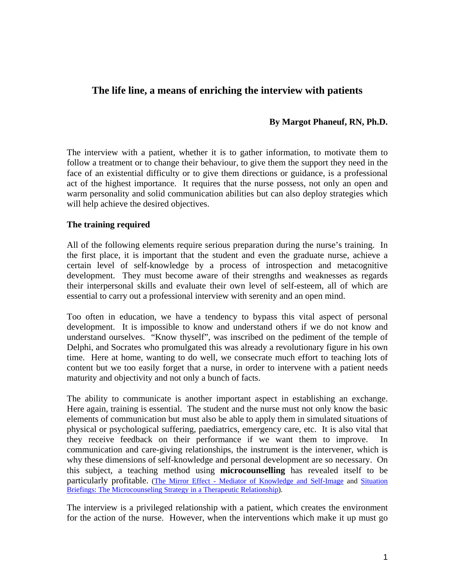# **The life line, a means of enriching the interview with patients**

### **By Margot Phaneuf, RN, Ph.D.**

The interview with a patient, whether it is to gather information, to motivate them to follow a treatment or to change their behaviour, to give them the support they need in the face of an existential difficulty or to give them directions or guidance, is a professional act of the highest importance. It requires that the nurse possess, not only an open and warm personality and solid communication abilities but can also deploy strategies which will help achieve the desired objectives.

#### **The training required**

All of the following elements require serious preparation during the nurse's training. In the first place, it is important that the student and even the graduate nurse, achieve a certain level of self-knowledge by a process of introspection and metacognitive development. They must become aware of their strengths and weaknesses as regards their interpersonal skills and evaluate their own level of self-esteem, all of which are essential to carry out a professional interview with serenity and an open mind.

Too often in education, we have a tendency to bypass this vital aspect of personal development. It is impossible to know and understand others if we do not know and understand ourselves. "Know thyself", was inscribed on the pediment of the temple of Delphi, and Socrates who promulgated this was already a revolutionary figure in his own time. Here at home, wanting to do well, we consecrate much effort to teaching lots of content but we too easily forget that a nurse, in order to intervene with a patient needs maturity and objectivity and not only a bunch of facts.

The ability to communicate is another important aspect in establishing an exchange. Here again, training is essential. The student and the nurse must not only know the basic elements of communication but must also be able to apply them in simulated situations of physical or psychological suffering, paediatrics, emergency care, etc. It is also vital that they receive feedback on their performance if we want them to improve. In communication and care-giving relationships, the instrument is the intervener, which is why these dimensions of self-knowledge and personal development are so necessary. On this subject, a teaching method using **microcounselling** has revealed itself to be particularly profitable. ([The Mirror Effect - Mediator of Knowledge and Self-Image](http://www.infiressources.ca/fer/Depotdocument_anglais/Mirror_Effect.pdf) and [Situation](http://www.infiressources.ca/fer/Depotdocument_anglais/Fiches-situations_Effet_miroir_English.pdf)  [Briefings: The Microcounseling Strategy in a Therapeutic Relationship\)](http://www.infiressources.ca/fer/Depotdocument_anglais/Fiches-situations_Effet_miroir_English.pdf).

The interview is a privileged relationship with a patient, which creates the environment for the action of the nurse. However, when the interventions which make it up must go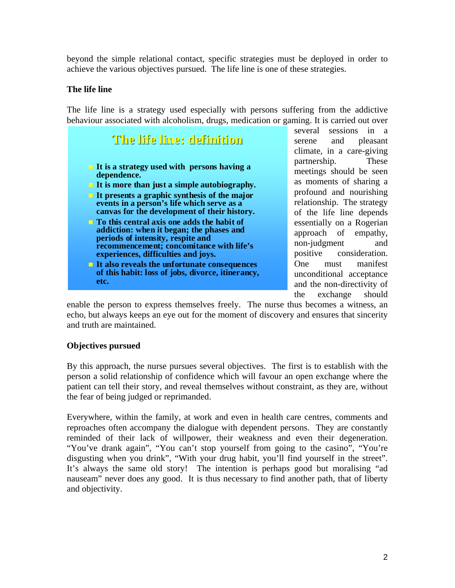beyond the simple relational contact, specific strategies must be deployed in order to achieve the various objectives pursued. The life line is one of these strategies.

# **The life line**

The life line is a strategy used especially with persons suffering from the addictive behaviour associated with alcoholism, drugs, medication or gaming. It is carried out over



several sessions in a serene and pleasant climate, in a care-giving partnership. These meetings should be seen as moments of sharing a profound and nourishing relationship. The strategy of the life line depends essentially on a Rogerian approach of empathy, non-judgment and positive consideration. One must manifest unconditional acceptance and the non-directivity of the exchange should

enable the person to express themselves freely. The nurse thus becomes a witness, an echo, but always keeps an eye out for the moment of discovery and ensures that sincerity and truth are maintained.

# **Objectives pursued**

By this approach, the nurse pursues several objectives. The first is to establish with the person a solid relationship of confidence which will favour an open exchange where the patient can tell their story, and reveal themselves without constraint, as they are, without the fear of being judged or reprimanded.

Everywhere, within the family, at work and even in health care centres, comments and reproaches often accompany the dialogue with dependent persons. They are constantly reminded of their lack of willpower, their weakness and even their degeneration. "You've drank again", "You can't stop yourself from going to the casino", "You're disgusting when you drink", "With your drug habit, you'll find yourself in the street". It's always the same old story! The intention is perhaps good but moralising "ad nauseam" never does any good. It is thus necessary to find another path, that of liberty and objectivity.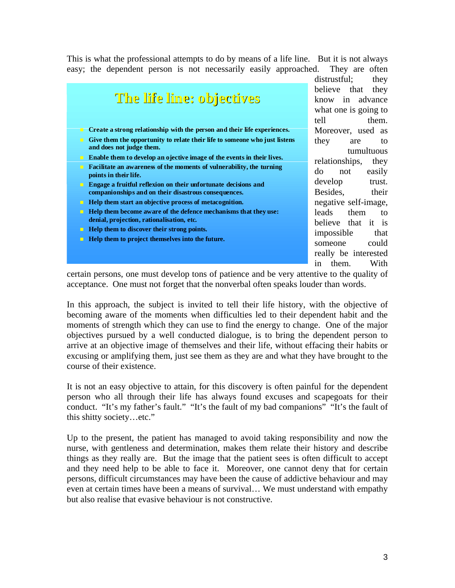This is what the professional attempts to do by means of a life line. But it is not always easy; the dependent person is not necessarily easily approached. They are often



distrustful; they believe that they know in advance what one is going to tell them. Moreover, used as they are to tumultuous relationships, they do not easily develop trust. Besides, their negative self-image, leads them to believe that it is impossible that someone could really be interested in them. With

certain persons, one must develop tons of patience and be very attentive to the quality of acceptance. One must not forget that the nonverbal often speaks louder than words.

In this approach, the subject is invited to tell their life history, with the objective of becoming aware of the moments when difficulties led to their dependent habit and the moments of strength which they can use to find the energy to change. One of the major objectives pursued by a well conducted dialogue, is to bring the dependent person to arrive at an objective image of themselves and their life, without effacing their habits or excusing or amplifying them, just see them as they are and what they have brought to the course of their existence.

It is not an easy objective to attain, for this discovery is often painful for the dependent person who all through their life has always found excuses and scapegoats for their conduct. "It's my father's fault." "It's the fault of my bad companions" "It's the fault of this shitty society…etc."

Up to the present, the patient has managed to avoid taking responsibility and now the nurse, with gentleness and determination, makes them relate their history and describe things as they really are. But the image that the patient sees is often difficult to accept and they need help to be able to face it. Moreover, one cannot deny that for certain persons, difficult circumstances may have been the cause of addictive behaviour and may even at certain times have been a means of survival… We must understand with empathy but also realise that evasive behaviour is not constructive.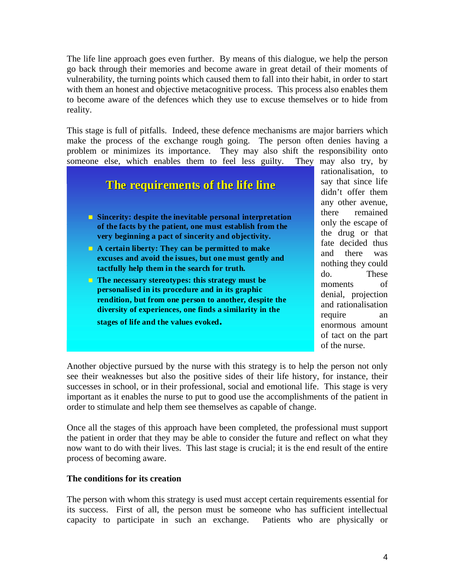The life line approach goes even further. By means of this dialogue, we help the person go back through their memories and become aware in great detail of their moments of vulnerability, the turning points which caused them to fall into their habit, in order to start with them an honest and objective metacognitive process. This process also enables them to become aware of the defences which they use to excuse themselves or to hide from reality.

This stage is full of pitfalls. Indeed, these defence mechanisms are major barriers which make the process of the exchange rough going. The person often denies having a problem or minimizes its importance. They may also shift the responsibility onto someone else, which enables them to feel less guilty. They may also try, by



Another objective pursued by the nurse with this strategy is to help the person not only see their weaknesses but also the positive sides of their life history, for instance, their successes in school, or in their professional, social and emotional life. This stage is very important as it enables the nurse to put to good use the accomplishments of the patient in order to stimulate and help them see themselves as capable of change.

Once all the stages of this approach have been completed, the professional must support the patient in order that they may be able to consider the future and reflect on what they now want to do with their lives. This last stage is crucial; it is the end result of the entire process of becoming aware.

#### **The conditions for its creation**

The person with whom this strategy is used must accept certain requirements essential for its success. First of all, the person must be someone who has sufficient intellectual capacity to participate in such an exchange. Patients who are physically or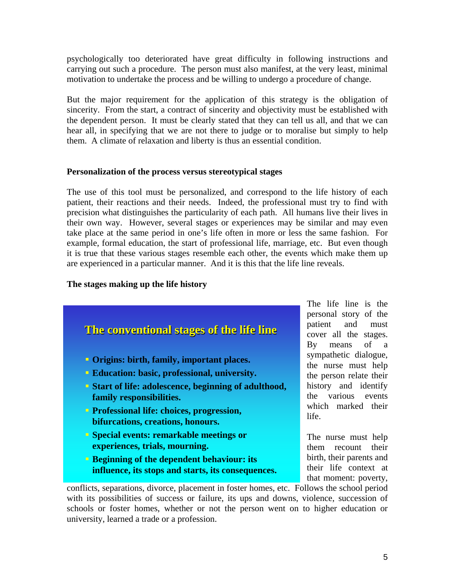psychologically too deteriorated have great difficulty in following instructions and carrying out such a procedure. The person must also manifest, at the very least, minimal motivation to undertake the process and be willing to undergo a procedure of change.

But the major requirement for the application of this strategy is the obligation of sincerity. From the start, a contract of sincerity and objectivity must be established with the dependent person. It must be clearly stated that they can tell us all, and that we can hear all, in specifying that we are not there to judge or to moralise but simply to help them. A climate of relaxation and liberty is thus an essential condition.

### **Personalization of the process versus stereotypical stages**

The use of this tool must be personalized, and correspond to the life history of each patient, their reactions and their needs. Indeed, the professional must try to find with precision what distinguishes the particularity of each path. All humans live their lives in their own way. However, several stages or experiences may be similar and may even take place at the same period in one's life often in more or less the same fashion. For example, formal education, the start of professional life, marriage, etc. But even though it is true that these various stages resemble each other, the events which make them up are experienced in a particular manner. And it is this that the life line reveals.

# **The stages making up the life history**



The life line is the personal story of the patient and must cover all the stages. By means of a sympathetic dialogue, the nurse must help the person relate their history and identify the various events which marked their life.

The nurse must help them recount their birth, their parents and their life context at that moment: poverty,

university, learned a trade or a profession. conflicts, separations, divorce, placement in foster homes, etc. Follows the school period with its possibilities of success or failure, its ups and downs, violence, succession of schools or foster homes, whether or not the person went on to higher education or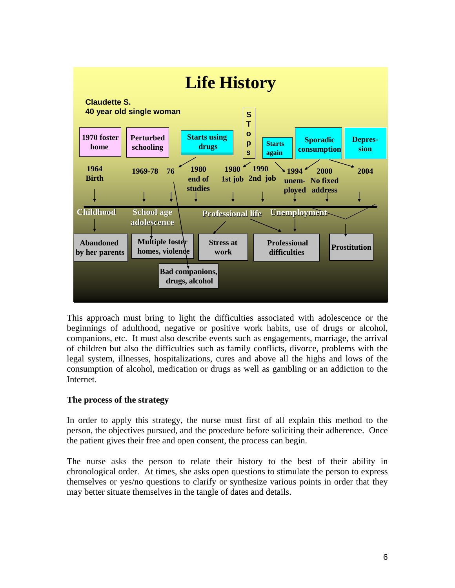

This approach must bring to light the difficulties associated with adolescence or the beginnings of adulthood, negative or positive work habits, use of drugs or alcohol, companions, etc. It must also describe events such as engagements, marriage, the arrival of children but also the difficulties such as family conflicts, divorce, problems with the legal system, illnesses, hospitalizations, cures and above all the highs and lows of the consumption of alcohol, medication or drugs as well as gambling or an addiction to the Internet.

# **The process of the strategy**

In order to apply this strategy, the nurse must first of all explain this method to the person, the objectives pursued, and the procedure before soliciting their adherence. Once the patient gives their free and open consent, the process can begin.

The nurse asks the person to relate their history to the best of their ability in chronological order. At times, she asks open questions to stimulate the person to express themselves or yes/no questions to clarify or synthesize various points in order that they may better situate themselves in the tangle of dates and details.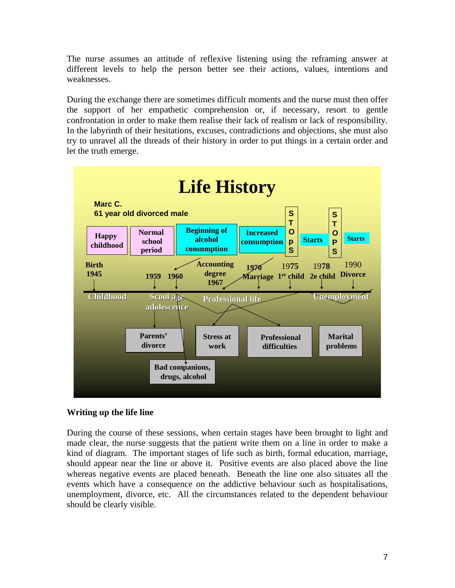The nurse assumes an attitude of reflexive listening using the reframing answer at different levels to help the person better see their actions, values, intentions and weaknesses.

During the exchange there are sometimes difficult moments and the nurse must then offer the support of her empathetic comprehension or, if necessary, resort to gentle confrontation in order to make them realise their lack of realism or lack of responsibility. In the labyrinth of their hesitations, excuses, contradictions and objections, she must also try to unravel all the threads of their history in order to put things in a certain order and let the truth emerge.



# **Writing up the life line**

During the course of these sessions, when certain stages have been brought to light and made clear, the nurse suggests that the patient write them on a line in order to make a kind of diagram. The important stages of life such as birth, formal education, marriage, should appear near the line or above it. Positive events are also placed above the line whereas negative events are placed beneath. Beneath the line one also situates all the events which have a consequence on the addictive behaviour such as hospitalisations, unemployment, divorce, etc. All the circumstances related to the dependent behaviour should be clearly visible.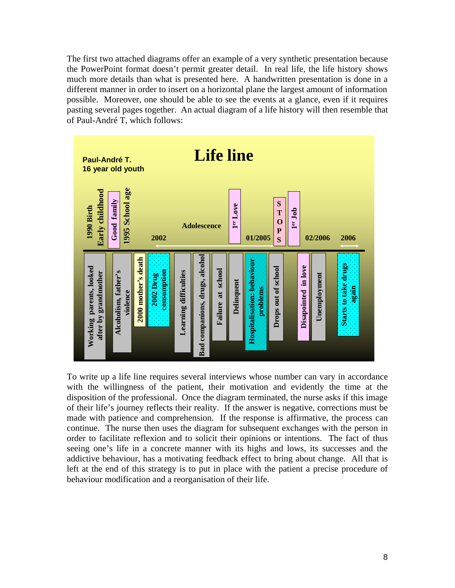The first two attached diagrams offer an example of a very synthetic presentation because the PowerPoint format doesn't permit greater detail. In real life, the life history shows much more details than what is presented here. A handwritten presentation is done in a different manner in order to insert on a horizontal plane the largest amount of information possible. Moreover, one should be able to see the events at a glance, even if it requires pasting several pages together. An actual diagram of a life history will then resemble that of Paul-André T, which follows:



To write up a life line requires several interviews whose number can vary in accordance with the willingness of the patient, their motivation and evidently the time at the disposition of the professional. Once the diagram terminated, the nurse asks if this image of their life's journey reflects their reality. If the answer is negative, corrections must be made with patience and comprehension. If the response is affirmative, the process can continue. The nurse then uses the diagram for subsequent exchanges with the person in order to facilitate reflexion and to solicit their opinions or intentions. The fact of thus seeing one's life in a concrete manner with its highs and lows, its successes and the addictive behaviour, has a motivating feedback effect to bring about change. All that is left at the end of this strategy is to put in place with the patient a precise procedure of behaviour modification and a reorganisation of their life.